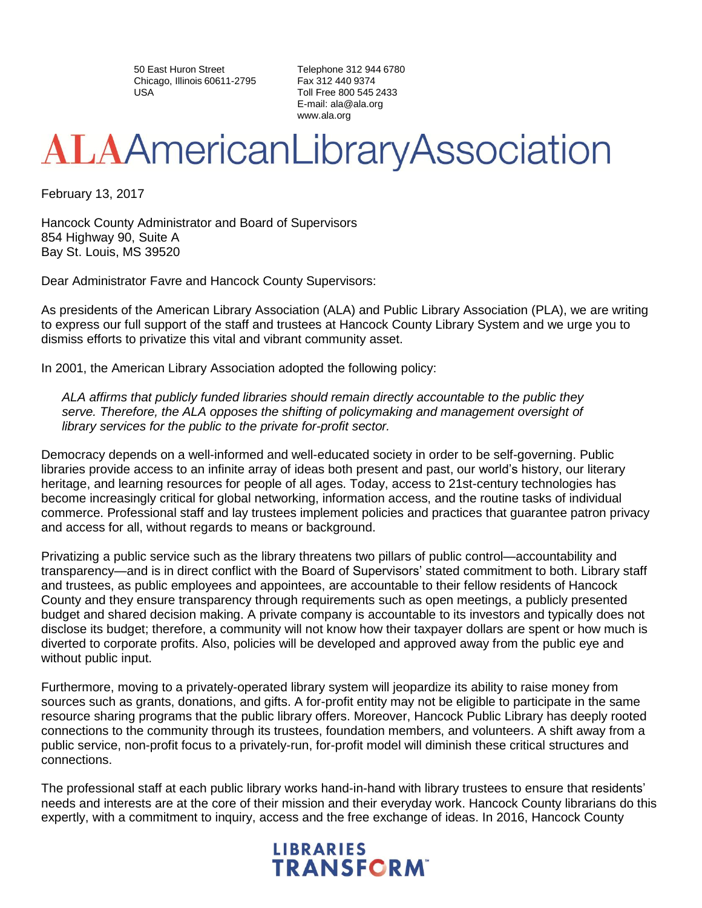50 East Huron Street Chicago, Illinois 60611-2795 USA

Telephone 312 944 6780 Fax 312 440 9374 Toll Free 800 545 2433 E-mail: [ala@ala.org](mailto:ala@ala.org) [www.ala.org](http://www.ala.org/)

## **ALAAmericanLibraryAssociation**

February 13, 2017

Hancock County Administrator and Board of Supervisors 854 Highway 90, Suite A Bay St. Louis, MS 39520

Dear Administrator Favre and Hancock County Supervisors:

As presidents of the American Library Association (ALA) and Public Library Association (PLA), we are writing to express our full support of the staff and trustees at Hancock County Library System and we urge you to dismiss efforts to privatize this vital and vibrant community asset.

In 2001, the American Library Association adopted the following policy:

*ALA affirms that publicly funded libraries should remain directly accountable to the public they serve. Therefore, the ALA opposes the shifting of policymaking and management oversight of library services for the public to the private for-profit sector.*

Democracy depends on a well-informed and well-educated society in order to be self-governing. Public libraries provide access to an infinite array of ideas both present and past, our world's history, our literary heritage, and learning resources for people of all ages. Today, access to 21st-century technologies has become increasingly critical for global networking, information access, and the routine tasks of individual commerce. Professional staff and lay trustees implement policies and practices that guarantee patron privacy and access for all, without regards to means or background.

Privatizing a public service such as the library threatens two pillars of public control—accountability and transparency—and is in direct conflict with the Board of Supervisors' stated commitment to both. Library staff and trustees, as public employees and appointees, are accountable to their fellow residents of Hancock County and they ensure transparency through requirements such as open meetings, a publicly presented budget and shared decision making. A private company is accountable to its investors and typically does not disclose its budget; therefore, a community will not know how their taxpayer dollars are spent or how much is diverted to corporate profits. Also, policies will be developed and approved away from the public eye and without public input.

Furthermore, moving to a privately-operated library system will jeopardize its ability to raise money from sources such as grants, donations, and gifts. A for-profit entity may not be eligible to participate in the same resource sharing programs that the public library offers. Moreover, Hancock Public Library has deeply rooted connections to the community through its trustees, foundation members, and volunteers. A shift away from a public service, non-profit focus to a privately-run, for-profit model will diminish these critical structures and connections.

The professional staff at each public library works hand-in-hand with library trustees to ensure that residents' needs and interests are at the core of their mission and their everyday work. Hancock County librarians do this expertly, with a commitment to inquiry, access and the free exchange of ideas. In 2016, Hancock County

## **LIBRARIES TRANSFORM**